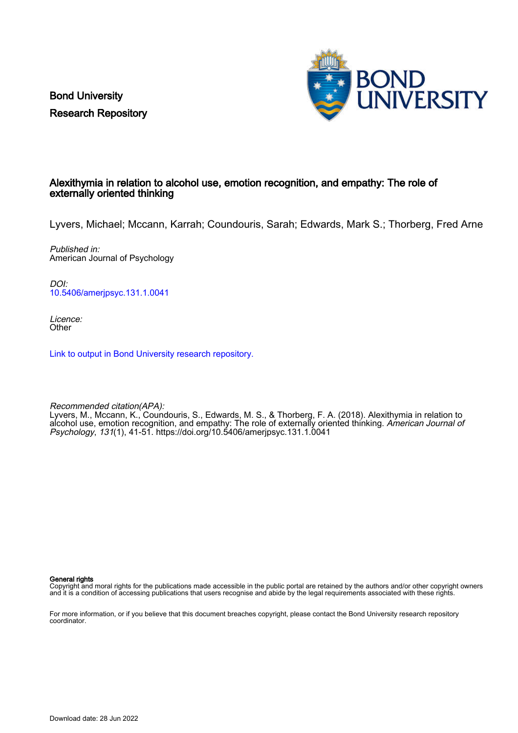Bond University Research Repository



## Alexithymia in relation to alcohol use, emotion recognition, and empathy: The role of externally oriented thinking

Lyvers, Michael; Mccann, Karrah; Coundouris, Sarah; Edwards, Mark S.; Thorberg, Fred Arne

Published in: American Journal of Psychology

DOI: [10.5406/amerjpsyc.131.1.0041](https://doi.org/10.5406/amerjpsyc.131.1.0041)

Licence: **Other** 

[Link to output in Bond University research repository.](https://research.bond.edu.au/en/publications/36330ca3-e490-4d39-aa42-cb3ab81d497b)

Recommended citation(APA):

Lyvers, M., Mccann, K., Coundouris, S., Edwards, M. S., & Thorberg, F. A. (2018). Alexithymia in relation to alcohol use, emotion recognition, and empathy: The role of externally oriented thinking. American Journal of Psychology, 131(1), 41-51.<https://doi.org/10.5406/amerjpsyc.131.1.0041>

General rights

Copyright and moral rights for the publications made accessible in the public portal are retained by the authors and/or other copyright owners and it is a condition of accessing publications that users recognise and abide by the legal requirements associated with these rights.

For more information, or if you believe that this document breaches copyright, please contact the Bond University research repository coordinator.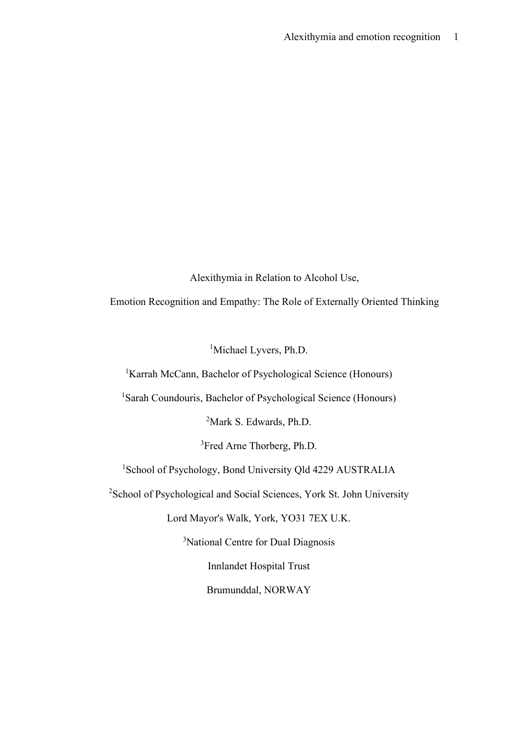Alexithymia in Relation to Alcohol Use,

Emotion Recognition and Empathy: The Role of Externally Oriented Thinking

<sup>1</sup>Michael Lyvers, Ph.D.

<sup>1</sup>Karrah McCann, Bachelor of Psychological Science (Honours)

<sup>1</sup>Sarah Coundouris, Bachelor of Psychological Science (Honours)

<sup>2</sup>Mark S. Edwards, Ph.D.

3 Fred Arne Thorberg, Ph.D.

<sup>1</sup>School of Psychology, Bond University Qld 4229 AUSTRALIA

<sup>2</sup>School of Psychological and Social Sciences, York St. John University

Lord Mayor's Walk, York, YO31 7EX U.K.

<sup>3</sup>National Centre for Dual Diagnosis

Innlandet Hospital Trust

Brumunddal, NORWAY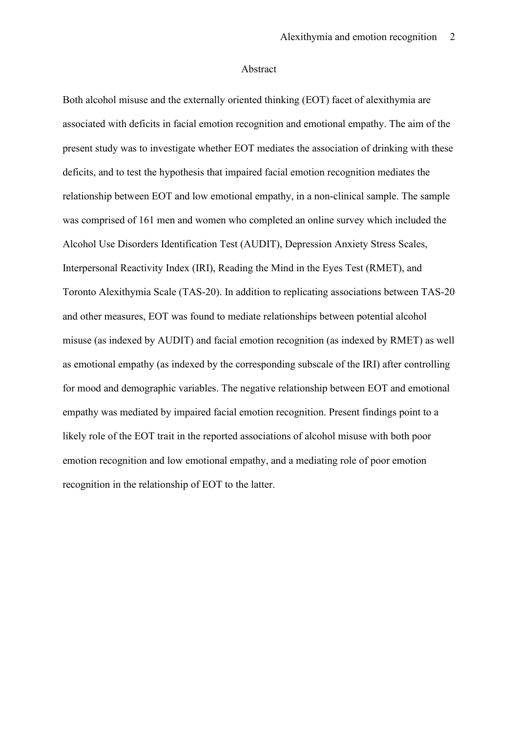#### Abstract

Both alcohol misuse and the externally oriented thinking (EOT) facet of alexithymia are associated with deficits in facial emotion recognition and emotional empathy. The aim of the present study was to investigate whether EOT mediates the association of drinking with these deficits, and to test the hypothesis that impaired facial emotion recognition mediates the relationship between EOT and low emotional empathy, in a non-clinical sample. The sample was comprised of 161 men and women who completed an online survey which included the Alcohol Use Disorders Identification Test (AUDIT), Depression Anxiety Stress Scales, Interpersonal Reactivity Index (IRI), Reading the Mind in the Eyes Test (RMET), and Toronto Alexithymia Scale (TAS-20). In addition to replicating associations between TAS-20 and other measures, EOT was found to mediate relationships between potential alcohol misuse (as indexed by AUDIT) and facial emotion recognition (as indexed by RMET) as well as emotional empathy (as indexed by the corresponding subscale of the IRI) after controlling for mood and demographic variables. The negative relationship between EOT and emotional empathy was mediated by impaired facial emotion recognition. Present findings point to a likely role of the EOT trait in the reported associations of alcohol misuse with both poor emotion recognition and low emotional empathy, and a mediating role of poor emotion recognition in the relationship of EOT to the latter.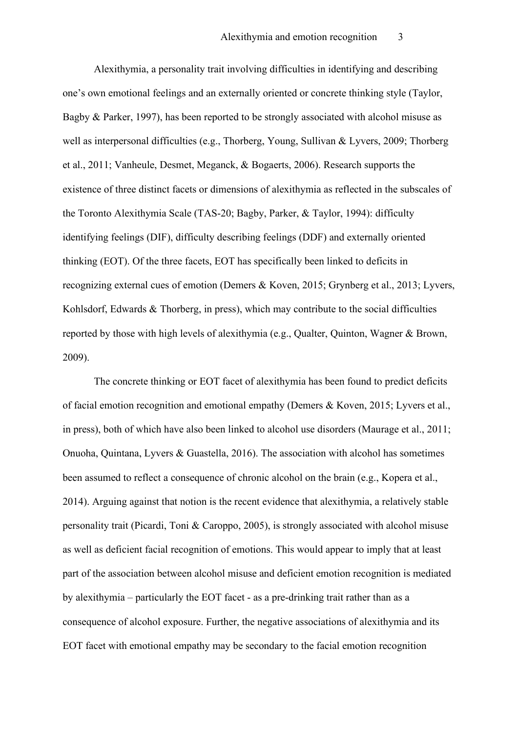Alexithymia, a personality trait involving difficulties in identifying and describing one's own emotional feelings and an externally oriented or concrete thinking style (Taylor, Bagby & Parker, 1997), has been reported to be strongly associated with alcohol misuse as well as interpersonal difficulties (e.g., Thorberg, Young, Sullivan & Lyvers, 2009; Thorberg et al., 2011; Vanheule, Desmet, Meganck, & Bogaerts, 2006). Research supports the existence of three distinct facets or dimensions of alexithymia as reflected in the subscales of the Toronto Alexithymia Scale (TAS-20; Bagby, Parker, & Taylor, 1994): difficulty identifying feelings (DIF), difficulty describing feelings (DDF) and externally oriented thinking (EOT). Of the three facets, EOT has specifically been linked to deficits in recognizing external cues of emotion (Demers & Koven, 2015; Grynberg et al., 2013; Lyvers, Kohlsdorf, Edwards & Thorberg, in press), which may contribute to the social difficulties reported by those with high levels of alexithymia (e.g., Qualter, Quinton, Wagner & Brown, 2009).

The concrete thinking or EOT facet of alexithymia has been found to predict deficits of facial emotion recognition and emotional empathy (Demers & Koven, 2015; Lyvers et al., in press), both of which have also been linked to alcohol use disorders (Maurage et al., 2011; Onuoha, Quintana, Lyvers & Guastella, 2016). The association with alcohol has sometimes been assumed to reflect a consequence of chronic alcohol on the brain (e.g., Kopera et al., 2014). Arguing against that notion is the recent evidence that alexithymia, a relatively stable personality trait (Picardi, Toni & Caroppo, 2005), is strongly associated with alcohol misuse as well as deficient facial recognition of emotions. This would appear to imply that at least part of the association between alcohol misuse and deficient emotion recognition is mediated by alexithymia – particularly the EOT facet - as a pre-drinking trait rather than as a consequence of alcohol exposure. Further, the negative associations of alexithymia and its EOT facet with emotional empathy may be secondary to the facial emotion recognition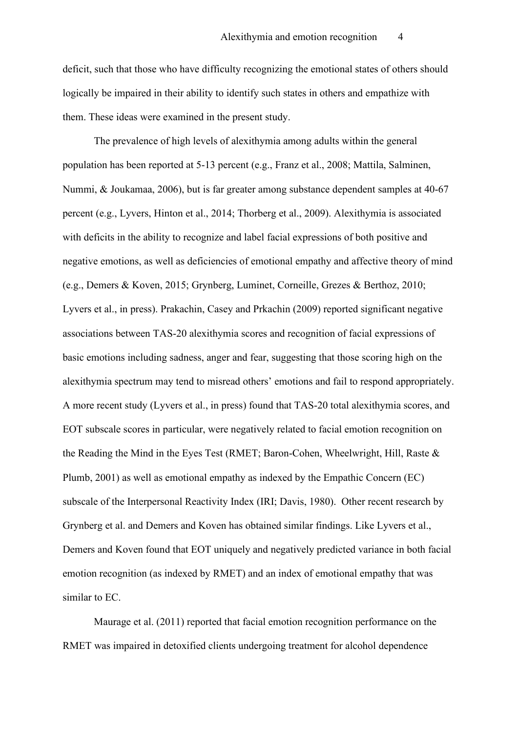deficit, such that those who have difficulty recognizing the emotional states of others should logically be impaired in their ability to identify such states in others and empathize with them. These ideas were examined in the present study.

The prevalence of high levels of alexithymia among adults within the general population has been reported at 5-13 percent (e.g., Franz et al., 2008; Mattila, Salminen, Nummi, & Joukamaa, 2006), but is far greater among substance dependent samples at 40-67 percent (e.g., Lyvers, Hinton et al., 2014; Thorberg et al., 2009). Alexithymia is associated with deficits in the ability to recognize and label facial expressions of both positive and negative emotions, as well as deficiencies of emotional empathy and affective theory of mind (e.g., Demers & Koven, 2015; Grynberg, Luminet, Corneille, Grezes & Berthoz, 2010; Lyvers et al., in press). Prakachin, Casey and Prkachin (2009) reported significant negative associations between TAS-20 alexithymia scores and recognition of facial expressions of basic emotions including sadness, anger and fear, suggesting that those scoring high on the alexithymia spectrum may tend to misread others' emotions and fail to respond appropriately. A more recent study (Lyvers et al., in press) found that TAS-20 total alexithymia scores, and EOT subscale scores in particular, were negatively related to facial emotion recognition on the Reading the Mind in the Eyes Test (RMET; Baron-Cohen, Wheelwright, Hill, Raste & Plumb, 2001) as well as emotional empathy as indexed by the Empathic Concern (EC) subscale of the Interpersonal Reactivity Index (IRI; Davis, 1980). Other recent research by Grynberg et al. and Demers and Koven has obtained similar findings. Like Lyvers et al., Demers and Koven found that EOT uniquely and negatively predicted variance in both facial emotion recognition (as indexed by RMET) and an index of emotional empathy that was similar to EC.

Maurage et al. (2011) reported that facial emotion recognition performance on the RMET was impaired in detoxified clients undergoing treatment for alcohol dependence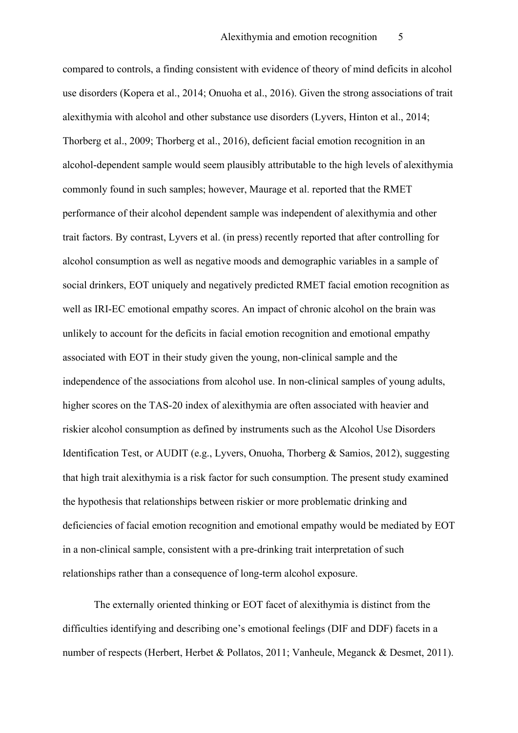compared to controls, a finding consistent with evidence of theory of mind deficits in alcohol use disorders (Kopera et al., 2014; Onuoha et al., 2016). Given the strong associations of trait alexithymia with alcohol and other substance use disorders (Lyvers, Hinton et al., 2014; Thorberg et al., 2009; Thorberg et al., 2016), deficient facial emotion recognition in an alcohol-dependent sample would seem plausibly attributable to the high levels of alexithymia commonly found in such samples; however, Maurage et al. reported that the RMET performance of their alcohol dependent sample was independent of alexithymia and other trait factors. By contrast, Lyvers et al. (in press) recently reported that after controlling for alcohol consumption as well as negative moods and demographic variables in a sample of social drinkers, EOT uniquely and negatively predicted RMET facial emotion recognition as well as IRI-EC emotional empathy scores. An impact of chronic alcohol on the brain was unlikely to account for the deficits in facial emotion recognition and emotional empathy associated with EOT in their study given the young, non-clinical sample and the independence of the associations from alcohol use. In non-clinical samples of young adults, higher scores on the TAS-20 index of alexithymia are often associated with heavier and riskier alcohol consumption as defined by instruments such as the Alcohol Use Disorders Identification Test, or AUDIT (e.g., Lyvers, Onuoha, Thorberg & Samios, 2012), suggesting that high trait alexithymia is a risk factor for such consumption. The present study examined the hypothesis that relationships between riskier or more problematic drinking and deficiencies of facial emotion recognition and emotional empathy would be mediated by EOT in a non-clinical sample, consistent with a pre-drinking trait interpretation of such relationships rather than a consequence of long-term alcohol exposure.

The externally oriented thinking or EOT facet of alexithymia is distinct from the difficulties identifying and describing one's emotional feelings (DIF and DDF) facets in a number of respects (Herbert, Herbet & Pollatos, 2011; Vanheule, Meganck & Desmet, 2011).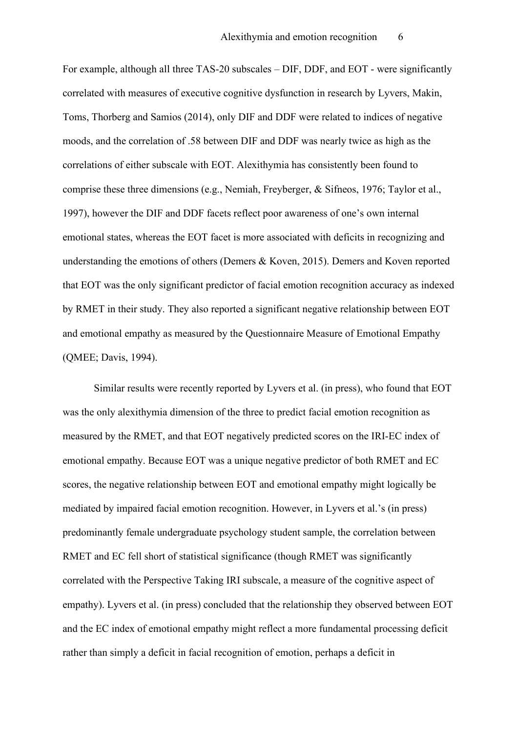For example, although all three TAS-20 subscales – DIF, DDF, and EOT - were significantly correlated with measures of executive cognitive dysfunction in research by Lyvers, Makin, Toms, Thorberg and Samios (2014), only DIF and DDF were related to indices of negative moods, and the correlation of .58 between DIF and DDF was nearly twice as high as the correlations of either subscale with EOT. Alexithymia has consistently been found to comprise these three dimensions (e.g., Nemiah, Freyberger, & Sifneos, 1976; Taylor et al., 1997), however the DIF and DDF facets reflect poor awareness of one's own internal emotional states, whereas the EOT facet is more associated with deficits in recognizing and understanding the emotions of others (Demers & Koven, 2015). Demers and Koven reported that EOT was the only significant predictor of facial emotion recognition accuracy as indexed by RMET in their study. They also reported a significant negative relationship between EOT and emotional empathy as measured by the Questionnaire Measure of Emotional Empathy (QMEE; Davis, 1994).

Similar results were recently reported by Lyvers et al. (in press), who found that EOT was the only alexithymia dimension of the three to predict facial emotion recognition as measured by the RMET, and that EOT negatively predicted scores on the IRI-EC index of emotional empathy. Because EOT was a unique negative predictor of both RMET and EC scores, the negative relationship between EOT and emotional empathy might logically be mediated by impaired facial emotion recognition. However, in Lyvers et al.'s (in press) predominantly female undergraduate psychology student sample, the correlation between RMET and EC fell short of statistical significance (though RMET was significantly correlated with the Perspective Taking IRI subscale, a measure of the cognitive aspect of empathy). Lyvers et al. (in press) concluded that the relationship they observed between EOT and the EC index of emotional empathy might reflect a more fundamental processing deficit rather than simply a deficit in facial recognition of emotion, perhaps a deficit in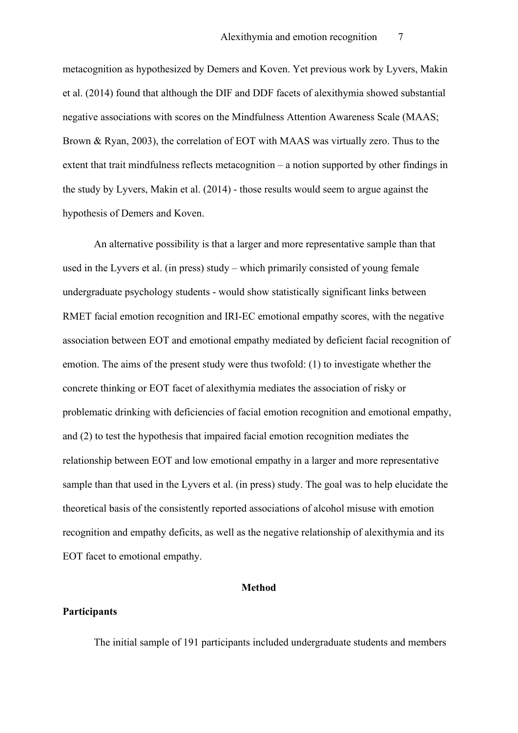metacognition as hypothesized by Demers and Koven. Yet previous work by Lyvers, Makin et al. (2014) found that although the DIF and DDF facets of alexithymia showed substantial negative associations with scores on the Mindfulness Attention Awareness Scale (MAAS; Brown & Ryan, 2003), the correlation of EOT with MAAS was virtually zero. Thus to the extent that trait mindfulness reflects metacognition – a notion supported by other findings in the study by Lyvers, Makin et al. (2014) - those results would seem to argue against the hypothesis of Demers and Koven.

An alternative possibility is that a larger and more representative sample than that used in the Lyvers et al. (in press) study – which primarily consisted of young female undergraduate psychology students - would show statistically significant links between RMET facial emotion recognition and IRI-EC emotional empathy scores, with the negative association between EOT and emotional empathy mediated by deficient facial recognition of emotion. The aims of the present study were thus twofold: (1) to investigate whether the concrete thinking or EOT facet of alexithymia mediates the association of risky or problematic drinking with deficiencies of facial emotion recognition and emotional empathy, and (2) to test the hypothesis that impaired facial emotion recognition mediates the relationship between EOT and low emotional empathy in a larger and more representative sample than that used in the Lyvers et al. (in press) study. The goal was to help elucidate the theoretical basis of the consistently reported associations of alcohol misuse with emotion recognition and empathy deficits, as well as the negative relationship of alexithymia and its EOT facet to emotional empathy.

## **Method**

#### **Participants**

The initial sample of 191 participants included undergraduate students and members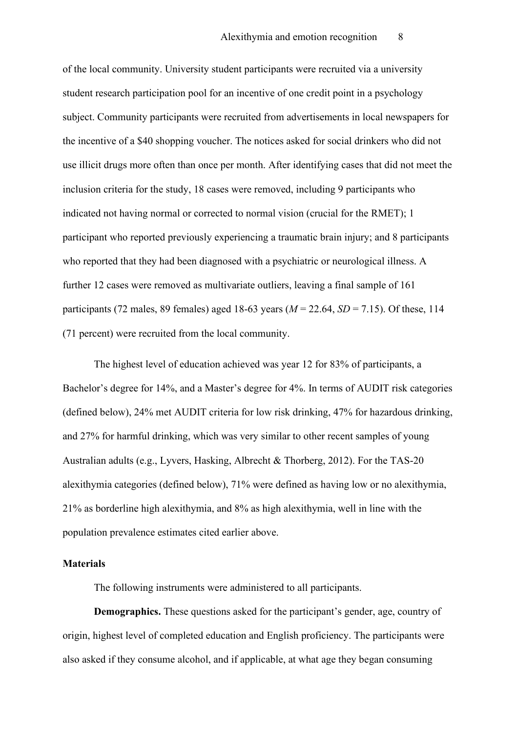of the local community. University student participants were recruited via a university student research participation pool for an incentive of one credit point in a psychology subject. Community participants were recruited from advertisements in local newspapers for the incentive of a \$40 shopping voucher. The notices asked for social drinkers who did not use illicit drugs more often than once per month. After identifying cases that did not meet the inclusion criteria for the study, 18 cases were removed, including 9 participants who indicated not having normal or corrected to normal vision (crucial for the RMET); 1 participant who reported previously experiencing a traumatic brain injury; and 8 participants who reported that they had been diagnosed with a psychiatric or neurological illness. A further 12 cases were removed as multivariate outliers, leaving a final sample of 161 participants (72 males, 89 females) aged 18-63 years (*M* = 22.64, *SD* = 7.15). Of these, 114 (71 percent) were recruited from the local community.

The highest level of education achieved was year 12 for 83% of participants, a Bachelor's degree for 14%, and a Master's degree for 4%. In terms of AUDIT risk categories (defined below), 24% met AUDIT criteria for low risk drinking, 47% for hazardous drinking, and 27% for harmful drinking, which was very similar to other recent samples of young Australian adults (e.g., Lyvers, Hasking, Albrecht & Thorberg, 2012). For the TAS-20 alexithymia categories (defined below), 71% were defined as having low or no alexithymia, 21% as borderline high alexithymia, and 8% as high alexithymia, well in line with the population prevalence estimates cited earlier above.

#### **Materials**

The following instruments were administered to all participants.

**Demographics.** These questions asked for the participant's gender, age, country of origin, highest level of completed education and English proficiency. The participants were also asked if they consume alcohol, and if applicable, at what age they began consuming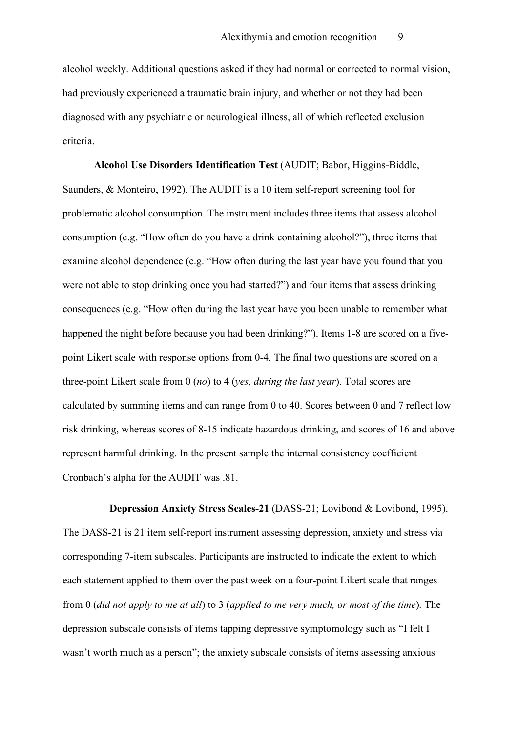alcohol weekly. Additional questions asked if they had normal or corrected to normal vision, had previously experienced a traumatic brain injury, and whether or not they had been diagnosed with any psychiatric or neurological illness, all of which reflected exclusion criteria.

**Alcohol Use Disorders Identification Test** (AUDIT; Babor, Higgins-Biddle, Saunders, & Monteiro, 1992). The AUDIT is a 10 item self-report screening tool for problematic alcohol consumption. The instrument includes three items that assess alcohol consumption (e.g. "How often do you have a drink containing alcohol?"), three items that examine alcohol dependence (e.g. "How often during the last year have you found that you were not able to stop drinking once you had started?") and four items that assess drinking consequences (e.g. "How often during the last year have you been unable to remember what happened the night before because you had been drinking?"). Items 1-8 are scored on a fivepoint Likert scale with response options from 0-4. The final two questions are scored on a three-point Likert scale from 0 (*no*) to 4 (*yes, during the last year*). Total scores are calculated by summing items and can range from 0 to 40. Scores between 0 and 7 reflect low risk drinking, whereas scores of 8-15 indicate hazardous drinking, and scores of 16 and above represent harmful drinking. In the present sample the internal consistency coefficient Cronbach's alpha for the AUDIT was .81.

 **Depression Anxiety Stress Scales-21** (DASS-21; Lovibond & Lovibond, 1995). The DASS-21 is 21 item self-report instrument assessing depression, anxiety and stress via corresponding 7-item subscales. Participants are instructed to indicate the extent to which each statement applied to them over the past week on a four-point Likert scale that ranges from 0 (*did not apply to me at all*) to 3 (*applied to me very much, or most of the time*)*.* The depression subscale consists of items tapping depressive symptomology such as "I felt I wasn't worth much as a person"; the anxiety subscale consists of items assessing anxious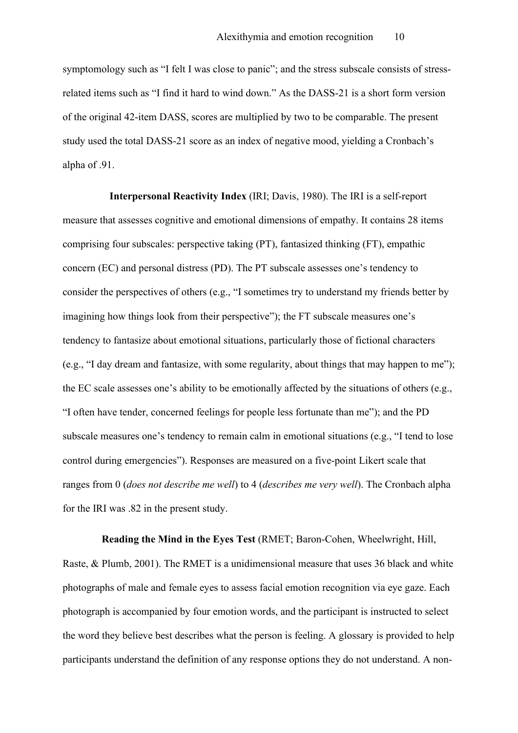symptomology such as "I felt I was close to panic"; and the stress subscale consists of stressrelated items such as "I find it hard to wind down." As the DASS-21 is a short form version of the original 42-item DASS, scores are multiplied by two to be comparable. The present study used the total DASS-21 score as an index of negative mood, yielding a Cronbach's alpha of .91.

 **Interpersonal Reactivity Index** (IRI; Davis, 1980). The IRI is a self-report measure that assesses cognitive and emotional dimensions of empathy. It contains 28 items comprising four subscales: perspective taking (PT), fantasized thinking (FT), empathic concern (EC) and personal distress (PD). The PT subscale assesses one's tendency to consider the perspectives of others (e.g., "I sometimes try to understand my friends better by imagining how things look from their perspective"); the FT subscale measures one's tendency to fantasize about emotional situations, particularly those of fictional characters (e.g., "I day dream and fantasize, with some regularity, about things that may happen to me"); the EC scale assesses one's ability to be emotionally affected by the situations of others (e.g., "I often have tender, concerned feelings for people less fortunate than me"); and the PD subscale measures one's tendency to remain calm in emotional situations (e.g., "I tend to lose control during emergencies"). Responses are measured on a five-point Likert scale that ranges from 0 (*does not describe me well*) to 4 (*describes me very well*). The Cronbach alpha for the IRI was .82 in the present study.

 **Reading the Mind in the Eyes Test** (RMET; Baron-Cohen, Wheelwright, Hill, Raste, & Plumb, 2001). The RMET is a unidimensional measure that uses 36 black and white photographs of male and female eyes to assess facial emotion recognition via eye gaze. Each photograph is accompanied by four emotion words, and the participant is instructed to select the word they believe best describes what the person is feeling. A glossary is provided to help participants understand the definition of any response options they do not understand. A non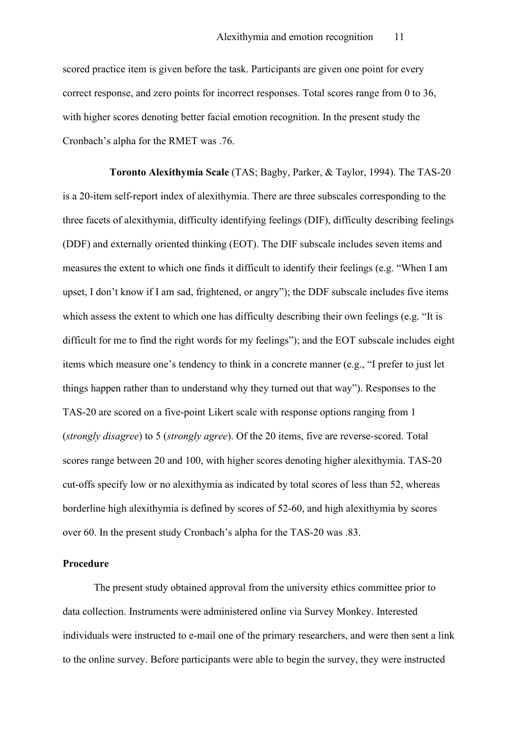scored practice item is given before the task. Participants are given one point for every correct response, and zero points for incorrect responses. Total scores range from 0 to 36, with higher scores denoting better facial emotion recognition. In the present study the Cronbach's alpha for the RMET was .76.

 **Toronto Alexithymia Scale** (TAS; Bagby, Parker, & Taylor, 1994). The TAS-20 is a 20-item self-report index of alexithymia. There are three subscales corresponding to the three facets of alexithymia, difficulty identifying feelings (DIF), difficulty describing feelings (DDF) and externally oriented thinking (EOT). The DIF subscale includes seven items and measures the extent to which one finds it difficult to identify their feelings (e.g. "When I am upset, I don't know if I am sad, frightened, or angry"); the DDF subscale includes five items which assess the extent to which one has difficulty describing their own feelings (e.g. "It is difficult for me to find the right words for my feelings"); and the EOT subscale includes eight items which measure one's tendency to think in a concrete manner (e.g., "I prefer to just let things happen rather than to understand why they turned out that way"). Responses to the TAS-20 are scored on a five-point Likert scale with response options ranging from 1 (*strongly disagree*) to 5 (*strongly agree*). Of the 20 items, five are reverse-scored. Total scores range between 20 and 100, with higher scores denoting higher alexithymia. TAS-20 cut-offs specify low or no alexithymia as indicated by total scores of less than 52, whereas borderline high alexithymia is defined by scores of 52-60, and high alexithymia by scores over 60. In the present study Cronbach's alpha for the TAS-20 was .83.

#### **Procedure**

The present study obtained approval from the university ethics committee prior to data collection. Instruments were administered online via Survey Monkey. Interested individuals were instructed to e-mail one of the primary researchers, and were then sent a link to the online survey. Before participants were able to begin the survey, they were instructed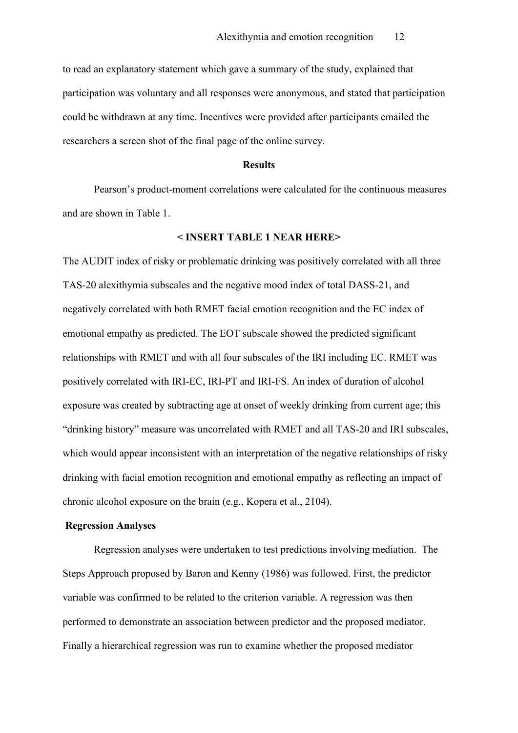to read an explanatory statement which gave a summary of the study, explained that participation was voluntary and all responses were anonymous, and stated that participation could be withdrawn at any time. Incentives were provided after participants emailed the researchers a screen shot of the final page of the online survey.

#### **Results**

Pearson's product-moment correlations were calculated for the continuous measures and are shown in Table 1.

### **< INSERT TABLE 1 NEAR HERE>**

The AUDIT index of risky or problematic drinking was positively correlated with all three TAS-20 alexithymia subscales and the negative mood index of total DASS-21, and negatively correlated with both RMET facial emotion recognition and the EC index of emotional empathy as predicted. The EOT subscale showed the predicted significant relationships with RMET and with all four subscales of the IRI including EC. RMET was positively correlated with IRI-EC, IRI-PT and IRI-FS. An index of duration of alcohol exposure was created by subtracting age at onset of weekly drinking from current age; this "drinking history" measure was uncorrelated with RMET and all TAS-20 and IRI subscales, which would appear inconsistent with an interpretation of the negative relationships of risky drinking with facial emotion recognition and emotional empathy as reflecting an impact of chronic alcohol exposure on the brain (e.g., Kopera et al., 2104).

#### **Regression Analyses**

Regression analyses were undertaken to test predictions involving mediation. The Steps Approach proposed by Baron and Kenny (1986) was followed. First, the predictor variable was confirmed to be related to the criterion variable. A regression was then performed to demonstrate an association between predictor and the proposed mediator. Finally a hierarchical regression was run to examine whether the proposed mediator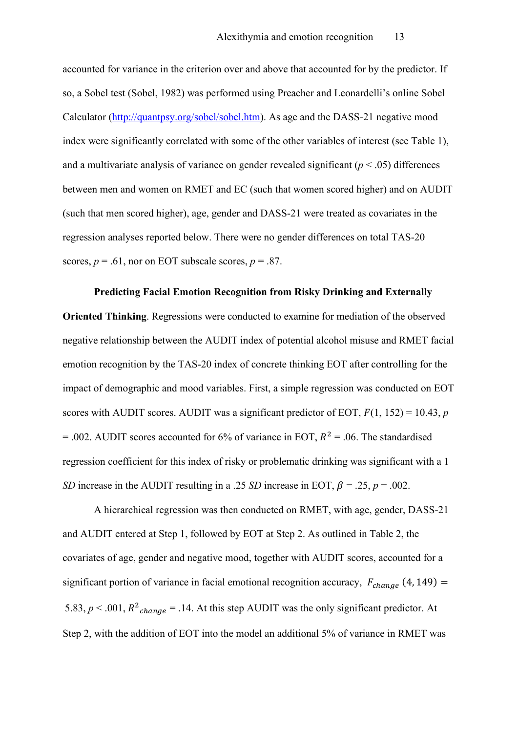accounted for variance in the criterion over and above that accounted for by the predictor. If so, a Sobel test (Sobel, 1982) was performed using Preacher and Leonardelli's online Sobel Calculator [\(http://quantpsy.org/sobel/sobel.htm\)](http://quantpsy.org/sobel/sobel.htm). As age and the DASS-21 negative mood index were significantly correlated with some of the other variables of interest (see Table 1), and a multivariate analysis of variance on gender revealed significant (*p* < .05) differences between men and women on RMET and EC (such that women scored higher) and on AUDIT (such that men scored higher), age, gender and DASS-21 were treated as covariates in the regression analyses reported below. There were no gender differences on total TAS-20 scores,  $p = .61$ , nor on EOT subscale scores,  $p = .87$ .

## **Predicting Facial Emotion Recognition from Risky Drinking and Externally**

**Oriented Thinking**. Regressions were conducted to examine for mediation of the observed negative relationship between the AUDIT index of potential alcohol misuse and RMET facial emotion recognition by the TAS-20 index of concrete thinking EOT after controlling for the impact of demographic and mood variables. First, a simple regression was conducted on EOT scores with AUDIT scores. AUDIT was a significant predictor of EOT,  $F(1, 152) = 10.43$ , *p*  $= .002$ . AUDIT scores accounted for 6% of variance in EOT,  $R^2 = .06$ . The standardised regression coefficient for this index of risky or problematic drinking was significant with a 1 *SD* increase in the AUDIT resulting in a .25 *SD* increase in EOT,  $\beta = .25$ ,  $p = .002$ .

A hierarchical regression was then conducted on RMET, with age, gender, DASS-21 and AUDIT entered at Step 1, followed by EOT at Step 2. As outlined in Table 2, the covariates of age, gender and negative mood, together with AUDIT scores, accounted for a significant portion of variance in facial emotional recognition accuracy,  $F_{change}$  (4, 149) = 5.83,  $p < .001$ ,  $R^2_{change} = .14$ . At this step AUDIT was the only significant predictor. At Step 2, with the addition of EOT into the model an additional 5% of variance in RMET was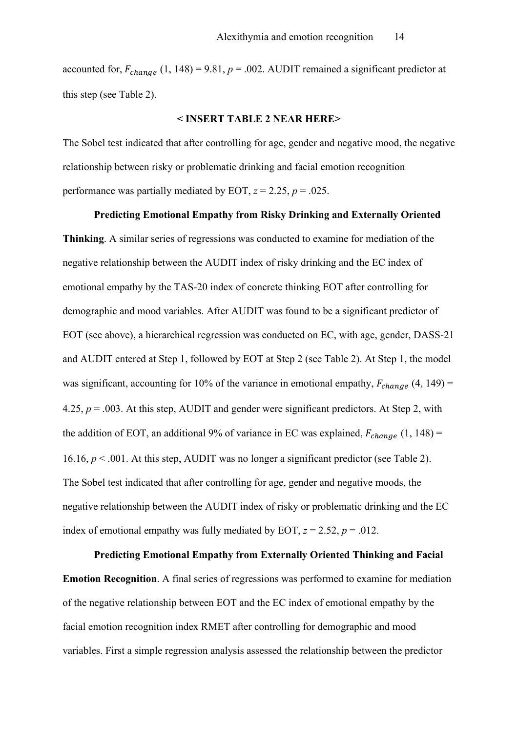accounted for,  $F_{change}$  (1, 148) = 9.81,  $p = .002$ . AUDIT remained a significant predictor at this step (see Table 2).

#### **< INSERT TABLE 2 NEAR HERE>**

The Sobel test indicated that after controlling for age, gender and negative mood, the negative relationship between risky or problematic drinking and facial emotion recognition performance was partially mediated by EOT,  $z = 2.25$ ,  $p = .025$ .

#### **Predicting Emotional Empathy from Risky Drinking and Externally Oriented**

**Thinking**. A similar series of regressions was conducted to examine for mediation of the negative relationship between the AUDIT index of risky drinking and the EC index of emotional empathy by the TAS-20 index of concrete thinking EOT after controlling for demographic and mood variables. After AUDIT was found to be a significant predictor of EOT (see above), a hierarchical regression was conducted on EC, with age, gender, DASS-21 and AUDIT entered at Step 1, followed by EOT at Step 2 (see Table 2). At Step 1, the model was significant, accounting for 10% of the variance in emotional empathy,  $F_{change}$  (4, 149) = 4.25,  $p = .003$ . At this step, AUDIT and gender were significant predictors. At Step 2, with the addition of EOT, an additional 9% of variance in EC was explained,  $F_{change}$  (1, 148) = 16.16, *p* < .001. At this step, AUDIT was no longer a significant predictor (see Table 2). The Sobel test indicated that after controlling for age, gender and negative moods, the negative relationship between the AUDIT index of risky or problematic drinking and the EC index of emotional empathy was fully mediated by EOT,  $z = 2.52$ ,  $p = .012$ .

**Predicting Emotional Empathy from Externally Oriented Thinking and Facial Emotion Recognition**. A final series of regressions was performed to examine for mediation of the negative relationship between EOT and the EC index of emotional empathy by the facial emotion recognition index RMET after controlling for demographic and mood variables. First a simple regression analysis assessed the relationship between the predictor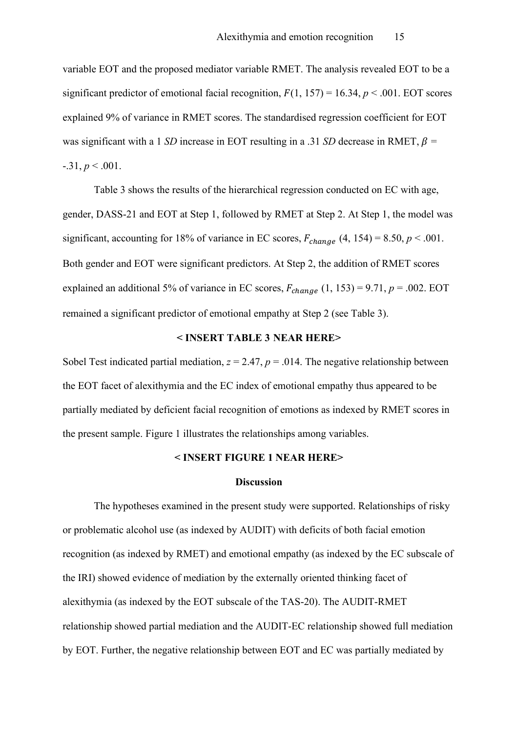variable EOT and the proposed mediator variable RMET. The analysis revealed EOT to be a significant predictor of emotional facial recognition,  $F(1, 157) = 16.34$ ,  $p < .001$ . EOT scores explained 9% of variance in RMET scores. The standardised regression coefficient for EOT was significant with a 1 *SD* increase in EOT resulting in a .31 *SD* decrease in RMET,  $\beta$  =  $-31, p \le 0.001$ .

Table 3 shows the results of the hierarchical regression conducted on EC with age, gender, DASS-21 and EOT at Step 1, followed by RMET at Step 2. At Step 1, the model was significant, accounting for 18% of variance in EC scores,  $F_{change}$  (4, 154) = 8.50,  $p < .001$ . Both gender and EOT were significant predictors. At Step 2, the addition of RMET scores explained an additional 5% of variance in EC scores,  $F_{change}$  (1, 153) = 9.71,  $p = .002$ . EOT remained a significant predictor of emotional empathy at Step 2 (see Table 3).

## **< INSERT TABLE 3 NEAR HERE>**

Sobel Test indicated partial mediation,  $z = 2.47$ ,  $p = .014$ . The negative relationship between the EOT facet of alexithymia and the EC index of emotional empathy thus appeared to be partially mediated by deficient facial recognition of emotions as indexed by RMET scores in the present sample. Figure 1 illustrates the relationships among variables.

## **< INSERT FIGURE 1 NEAR HERE>**

#### **Discussion**

The hypotheses examined in the present study were supported. Relationships of risky or problematic alcohol use (as indexed by AUDIT) with deficits of both facial emotion recognition (as indexed by RMET) and emotional empathy (as indexed by the EC subscale of the IRI) showed evidence of mediation by the externally oriented thinking facet of alexithymia (as indexed by the EOT subscale of the TAS-20). The AUDIT-RMET relationship showed partial mediation and the AUDIT-EC relationship showed full mediation by EOT. Further, the negative relationship between EOT and EC was partially mediated by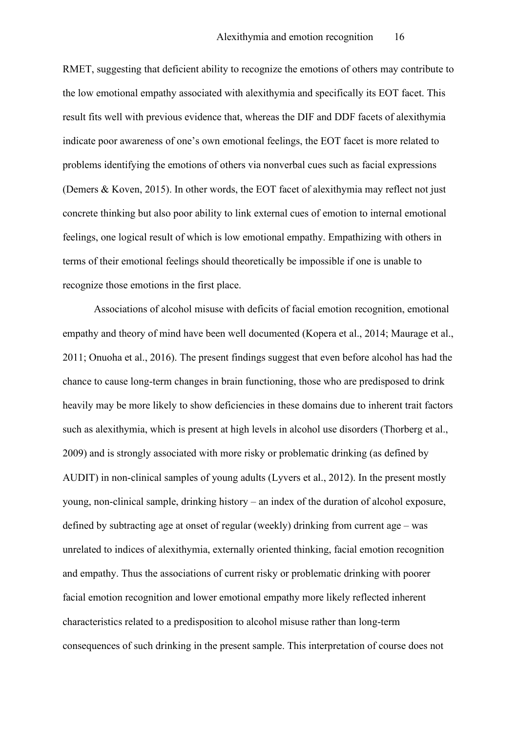RMET, suggesting that deficient ability to recognize the emotions of others may contribute to the low emotional empathy associated with alexithymia and specifically its EOT facet. This result fits well with previous evidence that, whereas the DIF and DDF facets of alexithymia indicate poor awareness of one's own emotional feelings, the EOT facet is more related to problems identifying the emotions of others via nonverbal cues such as facial expressions (Demers & Koven, 2015). In other words, the EOT facet of alexithymia may reflect not just concrete thinking but also poor ability to link external cues of emotion to internal emotional feelings, one logical result of which is low emotional empathy. Empathizing with others in terms of their emotional feelings should theoretically be impossible if one is unable to recognize those emotions in the first place.

Associations of alcohol misuse with deficits of facial emotion recognition, emotional empathy and theory of mind have been well documented (Kopera et al., 2014; Maurage et al., 2011; Onuoha et al., 2016). The present findings suggest that even before alcohol has had the chance to cause long-term changes in brain functioning, those who are predisposed to drink heavily may be more likely to show deficiencies in these domains due to inherent trait factors such as alexithymia, which is present at high levels in alcohol use disorders (Thorberg et al., 2009) and is strongly associated with more risky or problematic drinking (as defined by AUDIT) in non-clinical samples of young adults (Lyvers et al., 2012). In the present mostly young, non-clinical sample, drinking history – an index of the duration of alcohol exposure, defined by subtracting age at onset of regular (weekly) drinking from current age – was unrelated to indices of alexithymia, externally oriented thinking, facial emotion recognition and empathy. Thus the associations of current risky or problematic drinking with poorer facial emotion recognition and lower emotional empathy more likely reflected inherent characteristics related to a predisposition to alcohol misuse rather than long-term consequences of such drinking in the present sample. This interpretation of course does not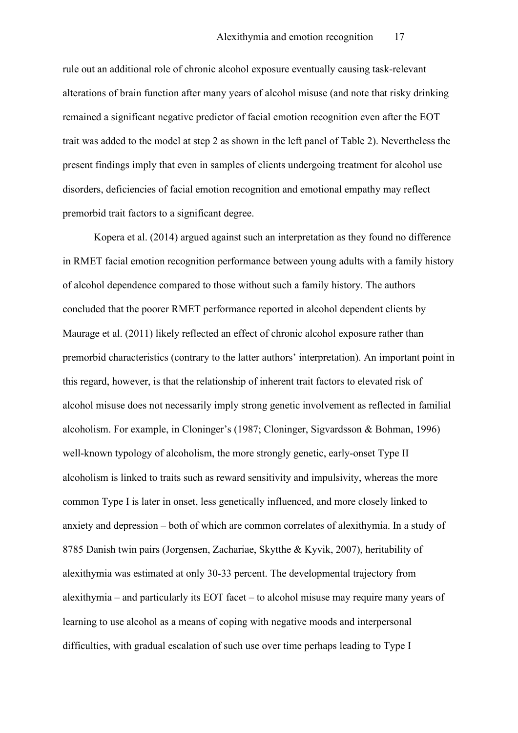rule out an additional role of chronic alcohol exposure eventually causing task-relevant alterations of brain function after many years of alcohol misuse (and note that risky drinking remained a significant negative predictor of facial emotion recognition even after the EOT trait was added to the model at step 2 as shown in the left panel of Table 2). Nevertheless the present findings imply that even in samples of clients undergoing treatment for alcohol use disorders, deficiencies of facial emotion recognition and emotional empathy may reflect premorbid trait factors to a significant degree.

Kopera et al. (2014) argued against such an interpretation as they found no difference in RMET facial emotion recognition performance between young adults with a family history of alcohol dependence compared to those without such a family history. The authors concluded that the poorer RMET performance reported in alcohol dependent clients by Maurage et al. (2011) likely reflected an effect of chronic alcohol exposure rather than premorbid characteristics (contrary to the latter authors' interpretation). An important point in this regard, however, is that the relationship of inherent trait factors to elevated risk of alcohol misuse does not necessarily imply strong genetic involvement as reflected in familial alcoholism. For example, in Cloninger's (1987; Cloninger, Sigvardsson & Bohman, 1996) well-known typology of alcoholism, the more strongly genetic, early-onset Type II alcoholism is linked to traits such as reward sensitivity and impulsivity, whereas the more common Type I is later in onset, less genetically influenced, and more closely linked to anxiety and depression – both of which are common correlates of alexithymia. In a study of 8785 Danish twin pairs (Jorgensen, Zachariae, Skytthe & Kyvik, 2007), heritability of alexithymia was estimated at only 30-33 percent. The developmental trajectory from alexithymia – and particularly its EOT facet – to alcohol misuse may require many years of learning to use alcohol as a means of coping with negative moods and interpersonal difficulties, with gradual escalation of such use over time perhaps leading to Type I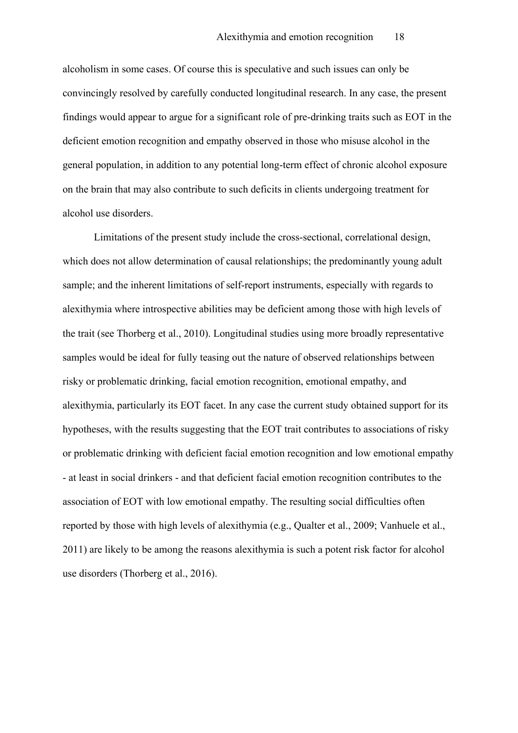alcoholism in some cases. Of course this is speculative and such issues can only be convincingly resolved by carefully conducted longitudinal research. In any case, the present findings would appear to argue for a significant role of pre-drinking traits such as EOT in the deficient emotion recognition and empathy observed in those who misuse alcohol in the general population, in addition to any potential long-term effect of chronic alcohol exposure on the brain that may also contribute to such deficits in clients undergoing treatment for alcohol use disorders.

Limitations of the present study include the cross-sectional, correlational design, which does not allow determination of causal relationships; the predominantly young adult sample; and the inherent limitations of self-report instruments, especially with regards to alexithymia where introspective abilities may be deficient among those with high levels of the trait (see Thorberg et al., 2010). Longitudinal studies using more broadly representative samples would be ideal for fully teasing out the nature of observed relationships between risky or problematic drinking, facial emotion recognition, emotional empathy, and alexithymia, particularly its EOT facet. In any case the current study obtained support for its hypotheses, with the results suggesting that the EOT trait contributes to associations of risky or problematic drinking with deficient facial emotion recognition and low emotional empathy - at least in social drinkers - and that deficient facial emotion recognition contributes to the association of EOT with low emotional empathy. The resulting social difficulties often reported by those with high levels of alexithymia (e.g., Qualter et al., 2009; Vanhuele et al., 2011) are likely to be among the reasons alexithymia is such a potent risk factor for alcohol use disorders (Thorberg et al., 2016).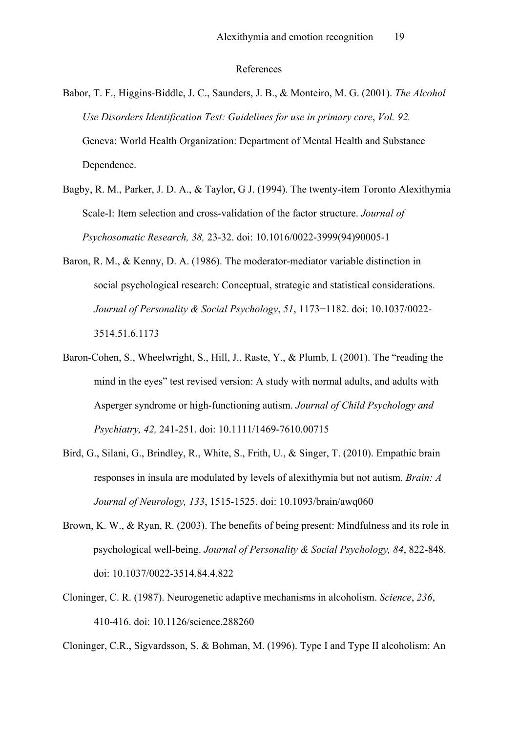#### References

- Babor, T. F., Higgins-Biddle, J. C., Saunders, J. B., & Monteiro, M. G. (2001). *The Alcohol Use Disorders Identification Test: Guidelines for use in primary care*, *Vol. 92.*  Geneva: World Health Organization: Department of Mental Health and Substance Dependence.
- Bagby, R. M., Parker, J. D. A., & Taylor, G J. (1994). The twenty-item Toronto Alexithymia Scale-I: Item selection and cross-validation of the factor structure. *Journal of Psychosomatic Research, 38,* 23-32. doi: 10.1016/0022-3999(94)90005-1
- Baron, R. M., & Kenny, D. A. (1986). The moderator-mediator variable distinction in social psychological research: Conceptual, strategic and statistical considerations. *Journal of Personality & Social Psychology*, *51*, 1173−1182. doi: 10.1037/0022- 3514.51.6.1173
- Baron-Cohen, S., Wheelwright, S., Hill, J., Raste, Y., & Plumb, I. (2001). The "reading the mind in the eyes" test revised version: A study with normal adults, and adults with Asperger syndrome or high-functioning autism. *Journal of Child Psychology and Psychiatry, 42,* 241-251. doi: 10.1111/1469-7610.00715
- Bird, G., Silani, G., Brindley, R., White, S., Frith, U., & Singer, T. (2010). Empathic brain responses in insula are modulated by levels of alexithymia but not autism. *Brain: A Journal of Neurology, 133*, 1515-1525. doi: 10.1093/brain/awq060
- Brown, K. W., & Ryan, R. (2003). The benefits of being present: Mindfulness and its role in psychological well-being. *Journal of Personality & Social Psychology, 84*, 822-848. doi: 10.1037/0022-3514.84.4.822
- Cloninger, C. R. (1987). Neurogenetic adaptive mechanisms in alcoholism. *Science*, *236*, 410-416. doi: 10.1126/science.288260
- Cloninger, C.R., Sigvardsson, S. & Bohman, M. (1996). Type I and Type II alcoholism: An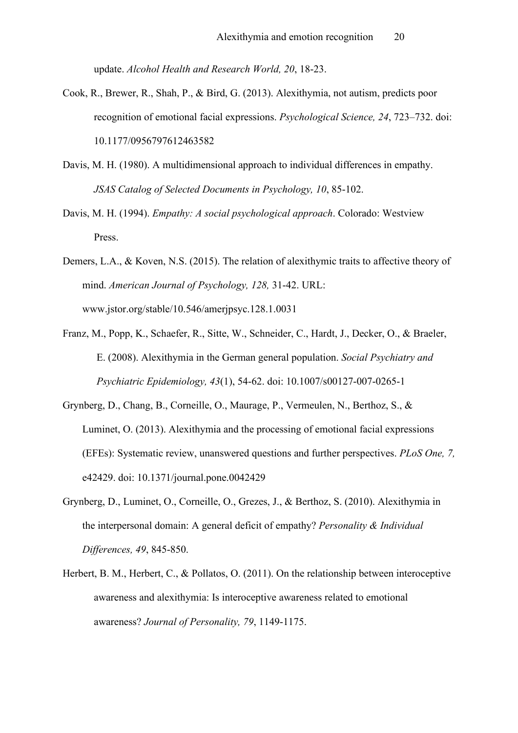update. *Alcohol Health and Research World, 20*, 18-23.

- Cook, R., Brewer, R., Shah, P., & Bird, G. (2013). Alexithymia, not autism, predicts poor recognition of emotional facial expressions. *Psychological Science, 24*, 723–732. doi: 10.1177/0956797612463582
- Davis, M. H. (1980). A multidimensional approach to individual differences in empathy. *JSAS Catalog of Selected Documents in Psychology, 10*, 85-102.
- Davis, M. H. (1994). *Empathy: A social psychological approach*. Colorado: Westview Press.
- Demers, L.A., & Koven, N.S. (2015). The relation of alexithymic traits to affective theory of mind. *American Journal of Psychology, 128,* 31-42. URL: www.jstor.org/stable/10.546/amerjpsyc.128.1.0031
- Franz, M., Popp, K., Schaefer, R., Sitte, W., Schneider, C., Hardt, J., Decker, O., & Braeler, E. (2008). Alexithymia in the German general population. *Social Psychiatry and Psychiatric Epidemiology, 43*(1), 54-62. doi: 10.1007/s00127-007-0265-1
- Grynberg, D., Chang, B., Corneille, O., Maurage, P., Vermeulen, N., Berthoz, S., & Luminet, O. (2013). Alexithymia and the processing of emotional facial expressions (EFEs): Systematic review, unanswered questions and further perspectives. *PLoS One, 7,* e42429. doi: 10.1371/journal.pone.0042429
- Grynberg, D., Luminet, O., Corneille, O., Grezes, J., & Berthoz, S. (2010). Alexithymia in the interpersonal domain: A general deficit of empathy? *Personality & Individual Differences, 49*, 845-850.
- Herbert, B. M., Herbert, C., & Pollatos, O. (2011). On the relationship between interoceptive awareness and alexithymia: Is interoceptive awareness related to emotional awareness? *Journal of Personality, 79*, 1149-1175.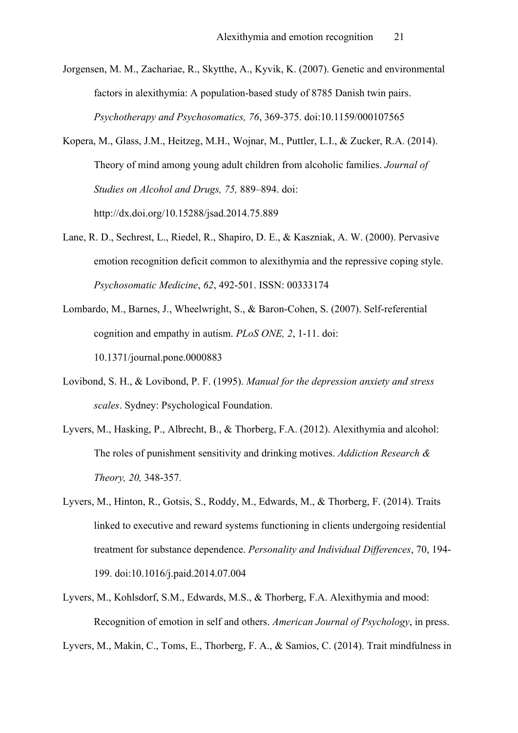Jorgensen, M. M., Zachariae, R., Skytthe, A., Kyvik, K. (2007). Genetic and environmental factors in alexithymia: A population-based study of 8785 Danish twin pairs. *Psychotherapy and Psychosomatics, 76*, 369-375. doi:10.1159/000107565

Kopera, M., Glass, J.M., Heitzeg, M.H., Wojnar, M., Puttler, L.I., & Zucker, R.A. (2014). Theory of mind among young adult children from alcoholic families. *Journal of Studies on Alcohol and Drugs, 75,* 889–894. doi: http://dx.doi.org/10.15288/jsad.2014.75.889

- Lane, R. D., Sechrest, L., Riedel, R., Shapiro, D. E., & Kaszniak, A. W. (2000). Pervasive emotion recognition deficit common to alexithymia and the repressive coping style. *Psychosomatic Medicine*, *62*, 492-501. ISSN: 00333174
- Lombardo, M., Barnes, J., Wheelwright, S., & Baron-Cohen, S. (2007). Self-referential cognition and empathy in autism. *PLoS ONE, 2*, 1-11. doi: 10.1371/journal.pone.0000883
- Lovibond, S. H., & Lovibond, P. F. (1995). *Manual for the depression anxiety and stress scales*. Sydney: Psychological Foundation.
- Lyvers, M., Hasking, P., Albrecht, B., & Thorberg, F.A. (2012). Alexithymia and alcohol: The roles of punishment sensitivity and drinking motives. *Addiction Research & Theory, 20,* 348-357*.*
- Lyvers, M., Hinton, R., Gotsis, S., Roddy, M., Edwards, M., & Thorberg, F. (2014). Traits linked to executive and reward systems functioning in clients undergoing residential treatment for substance dependence. *Personality and Individual Differences*, 70, 194- 199. doi:10.1016/j.paid.2014.07.004
- Lyvers, M., Kohlsdorf, S.M., Edwards, M.S., & Thorberg, F.A. Alexithymia and mood: Recognition of emotion in self and others. *American Journal of Psychology*, in press.

Lyvers, M., Makin, C., Toms, E., Thorberg, F. A., & Samios, C. (2014). Trait mindfulness in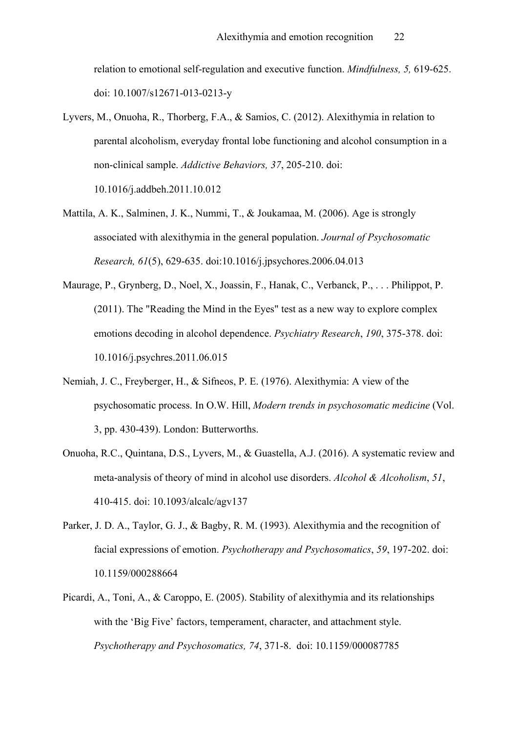relation to emotional self-regulation and executive function. *Mindfulness, 5,* 619-625. doi: 10.1007/s12671-013-0213-y

Lyvers, M., Onuoha, R., Thorberg, F.A., & Samios, C. (2012). Alexithymia in relation to parental alcoholism, everyday frontal lobe functioning and alcohol consumption in a non-clinical sample. *Addictive Behaviors, 37*, 205-210. doi: 10.1016/j.addbeh.2011.10.012

Mattila, A. K., Salminen, J. K., Nummi, T., & Joukamaa, M. (2006). Age is strongly associated with alexithymia in the general population. *Journal of Psychosomatic Research, 61*(5), 629-635. doi:10.1016/j.jpsychores.2006.04.013

- Maurage, P., Grynberg, D., Noel, X., Joassin, F., Hanak, C., Verbanck, P., . . . Philippot, P. (2011). The "Reading the Mind in the Eyes" test as a new way to explore complex emotions decoding in alcohol dependence. *Psychiatry Research*, *190*, 375-378. doi: 10.1016/j.psychres.2011.06.015
- Nemiah, J. C., Freyberger, H., & Sifneos, P. E. (1976). Alexithymia: A view of the psychosomatic process. In O.W. Hill, *Modern trends in psychosomatic medicine* (Vol. 3, pp. 430-439). London: Butterworths.
- Onuoha, R.C., Quintana, D.S., Lyvers, M., & Guastella, A.J. (2016). A systematic review and meta-analysis of theory of mind in alcohol use disorders. *Alcohol & Alcoholism*, *51*, 410-415. doi: 10.1093/alcalc/agv137
- Parker, J. D. A., Taylor, G. J., & Bagby, R. M. (1993). Alexithymia and the recognition of facial expressions of emotion. *Psychotherapy and Psychosomatics*, *59*, 197-202. doi: 10.1159/000288664
- Picardi, A., Toni, A., & Caroppo, E. (2005). Stability of alexithymia and its relationships with the 'Big Five' factors, temperament, character, and attachment style. *Psychotherapy and Psychosomatics, 74*, 371-8. doi: 10.1159/000087785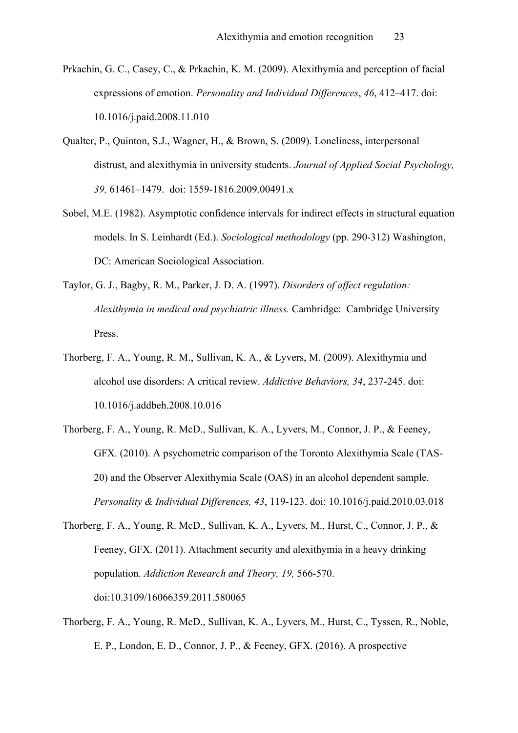- Prkachin, G. C., Casey, C., & Prkachin, K. M. (2009). Alexithymia and perception of facial expressions of emotion. *Personality and Individual Differences*, *46*, 412–417. doi: 10.1016/j.paid.2008.11.010
- Qualter, P., Quinton, S.J., Wagner, H., & Brown, S. (2009). Loneliness, interpersonal distrust, and alexithymia in university students. *Journal of Applied Social Psychology, 39,* 61461–1479. doi: 1559-1816.2009.00491.x
- Sobel, M.E. (1982). Asymptotic confidence intervals for indirect effects in structural equation models. In S. Leinhardt (Ed.). *Sociological methodology* (pp. 290-312) Washington, DC: American Sociological Association.
- Taylor, G. J., Bagby, R. M., Parker, J. D. A. (1997). *Disorders of affect regulation: Alexithymia in medical and psychiatric illness.* Cambridge: Cambridge University Press.
- Thorberg, F. A., Young, R. M., Sullivan, K. A., & Lyvers, M. (2009). Alexithymia and alcohol use disorders: A critical review. *Addictive Behaviors, 34*, 237-245. doi: 10.1016/j.addbeh.2008.10.016
- Thorberg, F. A., Young, R. McD., Sullivan, K. A., Lyvers, M., Connor, J. P., & Feeney, GFX. (2010). A psychometric comparison of the Toronto Alexithymia Scale (TAS-20) and the Observer Alexithymia Scale (OAS) in an alcohol dependent sample. *Personality & Individual Differences, 43*, 119-123. doi: 10.1016/j.paid.2010.03.018
- Thorberg, F. A., Young, R. McD., Sullivan, K. A., Lyvers, M., Hurst, C., Connor, J. P., & Feeney, GFX. (2011). Attachment security and alexithymia in a heavy drinking population. *Addiction Research and Theory, 19,* 566-570. doi:10.3109/16066359.2011.580065
- Thorberg, F. A., Young, R. McD., Sullivan, K. A., Lyvers, M., Hurst, C., Tyssen, R., Noble, E. P., London, E. D., Connor, J. P., & Feeney, GFX. (2016). A prospective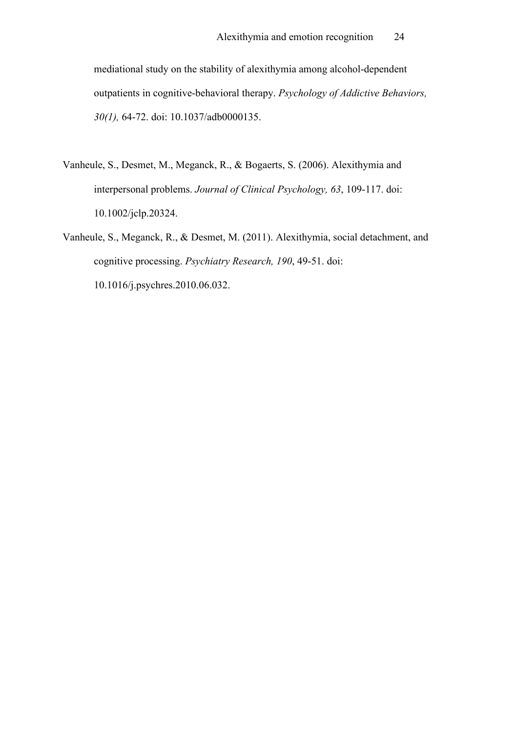mediational study on the stability of alexithymia among alcohol-dependent outpatients in cognitive-behavioral therapy. *Psychology of Addictive Behaviors, 30(1),* 64-72. doi: 10.1037/adb0000135.

- Vanheule, S., Desmet, M., Meganck, R., & Bogaerts, S. (2006). Alexithymia and interpersonal problems. *Journal of Clinical Psychology, 63*, 109-117. doi: 10.1002/jclp.20324.
- Vanheule, S., Meganck, R., & Desmet, M. (2011). Alexithymia, social detachment, and cognitive processing. *Psychiatry Research, 190*, 49-51. doi: 10.1016/j.psychres.2010.06.032.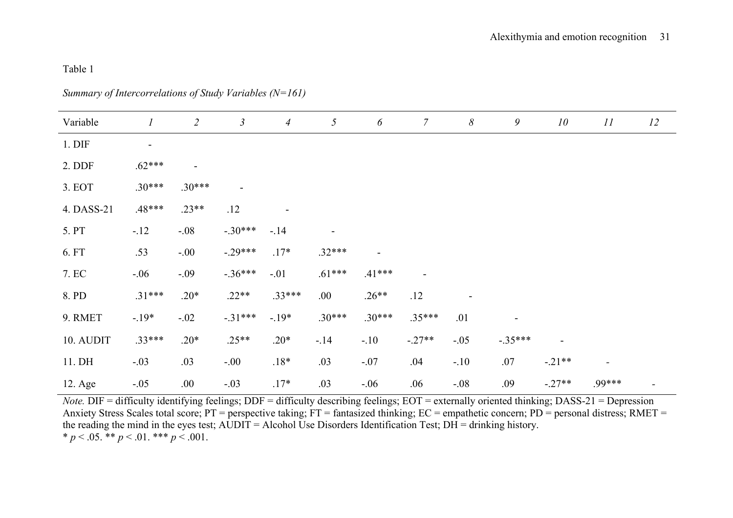## Table 1

*Summary of Intercorrelations of Study Variables (N=161)*

| Variable         | $\boldsymbol{l}$ | $\overline{2}$           | $\mathfrak{Z}$ | $\overline{A}$ | $\mathfrak{H}$ | 6                        | $\overline{7}$           | $\boldsymbol{\delta}$    | 9                        | 10 <sup>°</sup> | II                       | 12 |
|------------------|------------------|--------------------------|----------------|----------------|----------------|--------------------------|--------------------------|--------------------------|--------------------------|-----------------|--------------------------|----|
| $1.$ DIF         | $\blacksquare$   |                          |                |                |                |                          |                          |                          |                          |                 |                          |    |
| 2. DDF           | $.62***$         | $\overline{\phantom{a}}$ |                |                |                |                          |                          |                          |                          |                 |                          |    |
| 3. EOT           | $.30***$         | $.30***$                 | $\blacksquare$ |                |                |                          |                          |                          |                          |                 |                          |    |
| 4. DASS-21       | .48***           | $.23**$                  | .12            |                |                |                          |                          |                          |                          |                 |                          |    |
| 5. PT            | $-.12$           | $-.08$                   | $-.30***$      | $-.14$         |                |                          |                          |                          |                          |                 |                          |    |
| 6. FT            | .53              | $-.00$                   | $-.29***$      | $.17*$         | $.32***$       | $\overline{\phantom{a}}$ |                          |                          |                          |                 |                          |    |
| 7. EC            | $-.06$           | $-.09$                   | $-.36***$      | $-.01$         | $.61***$       | $.41***$                 | $\overline{\phantom{a}}$ |                          |                          |                 |                          |    |
| 8. PD            | $.31***$         | $.20*$                   | $.22**$        | $.33***$       | .00.           | $.26**$                  | .12                      | $\overline{\phantom{a}}$ |                          |                 |                          |    |
| 9. RMET          | $-.19*$          | $-.02$                   | $-.31***$      | $-.19*$        | $.30***$       | $.30***$                 | $.35***$                 | .01                      | $\overline{\phantom{0}}$ |                 |                          |    |
| 10. AUDIT        | $.33***$         | $.20*$                   | $.25**$        | $.20*$         | $-.14$         | $-.10$                   | $-.27**$                 | $-.05$                   | $-.35***$                |                 |                          |    |
| 11. DH           | $-.03$           | .03                      | $-.00$         | $.18*$         | .03            | $-.07$                   | .04                      | $-.10$                   | .07                      | $-.21**$        | $\overline{\phantom{0}}$ |    |
| $12. \text{Age}$ | $-.05$           | .00.                     | $-.03$         | $.17*$         | .03            | $-.06$                   | .06                      | $-.08$                   | .09                      | $-.27**$        | .99***                   |    |

*Note.* DIF = difficulty identifying feelings; DDF = difficulty describing feelings; EOT = externally oriented thinking; DASS-21 = Depression Anxiety Stress Scales total score; PT = perspective taking; FT = fantasized thinking; EC = empathetic concern; PD = personal distress; RMET = the reading the mind in the eyes test; AUDIT = Alcohol Use Disorders Identification Test; DH = drinking history. \*  $p < .05$ . \*\*  $p < .01$ . \*\*\*  $p < .001$ .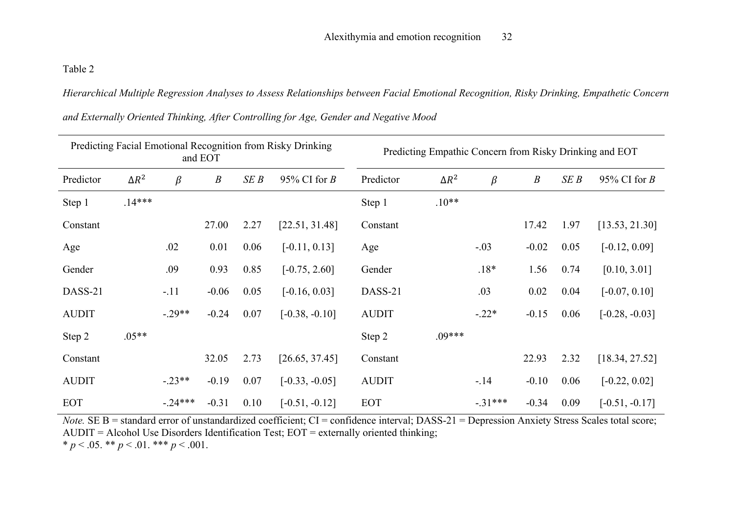Table 2

*Hierarchical Multiple Regression Analyses to Assess Relationships between Facial Emotional Recognition, Risky Drinking, Empathetic Concern* 

| Predicting Facial Emotional Recognition from Risky Drinking<br>and EOT |              |           |                  |      |                  | Predicting Empathic Concern from Risky Drinking and EOT |              |           |                  |      |                  |  |
|------------------------------------------------------------------------|--------------|-----------|------------------|------|------------------|---------------------------------------------------------|--------------|-----------|------------------|------|------------------|--|
| Predictor                                                              | $\Delta R^2$ | $\beta$   | $\boldsymbol{B}$ | SEB  | 95% CI for $B$   | Predictor                                               | $\Delta R^2$ | $\beta$   | $\boldsymbol{B}$ | SEB  | 95% CI for $B$   |  |
| Step 1                                                                 | $.14***$     |           |                  |      |                  | Step 1                                                  | $.10**$      |           |                  |      |                  |  |
| Constant                                                               |              |           | 27.00            | 2.27 | [22.51, 31.48]   | Constant                                                |              |           | 17.42            | 1.97 | [13.53, 21.30]   |  |
| Age                                                                    |              | .02       | 0.01             | 0.06 | $[-0.11, 0.13]$  | Age                                                     |              | $-.03$    | $-0.02$          | 0.05 | $[-0.12, 0.09]$  |  |
| Gender                                                                 |              | .09       | 0.93             | 0.85 | $[-0.75, 2.60]$  | Gender                                                  |              | $.18*$    | 1.56             | 0.74 | [0.10, 3.01]     |  |
| DASS-21                                                                |              | $-.11$    | $-0.06$          | 0.05 | $[-0.16, 0.03]$  | DASS-21                                                 |              | .03       | 0.02             | 0.04 | $[-0.07, 0.10]$  |  |
| <b>AUDIT</b>                                                           |              | $-.29**$  | $-0.24$          | 0.07 | $[-0.38, -0.10]$ | <b>AUDIT</b>                                            |              | $-.22*$   | $-0.15$          | 0.06 | $[-0.28, -0.03]$ |  |
| Step 2                                                                 | $.05**$      |           |                  |      |                  | Step 2                                                  | $.09***$     |           |                  |      |                  |  |
| Constant                                                               |              |           | 32.05            | 2.73 | [26.65, 37.45]   | Constant                                                |              |           | 22.93            | 2.32 | [18.34, 27.52]   |  |
| <b>AUDIT</b>                                                           |              | $-.23**$  | $-0.19$          | 0.07 | $[-0.33, -0.05]$ | <b>AUDIT</b>                                            |              | $-.14$    | $-0.10$          | 0.06 | $[-0.22, 0.02]$  |  |
| <b>EOT</b>                                                             |              | $-.24***$ | $-0.31$          | 0.10 | $[-0.51, -0.12]$ | <b>EOT</b>                                              |              | $-.31***$ | $-0.34$          | 0.09 | $[-0.51, -0.17]$ |  |

*and Externally Oriented Thinking, After Controlling for Age, Gender and Negative Mood*

*Note.* SE B = standard error of unstandardized coefficient; CI = confidence interval; DASS-21 = Depression Anxiety Stress Scales total score; AUDIT = Alcohol Use Disorders Identification Test; EOT = externally oriented thinking;  $* p < .05. ** p < .01.*** p < .001.$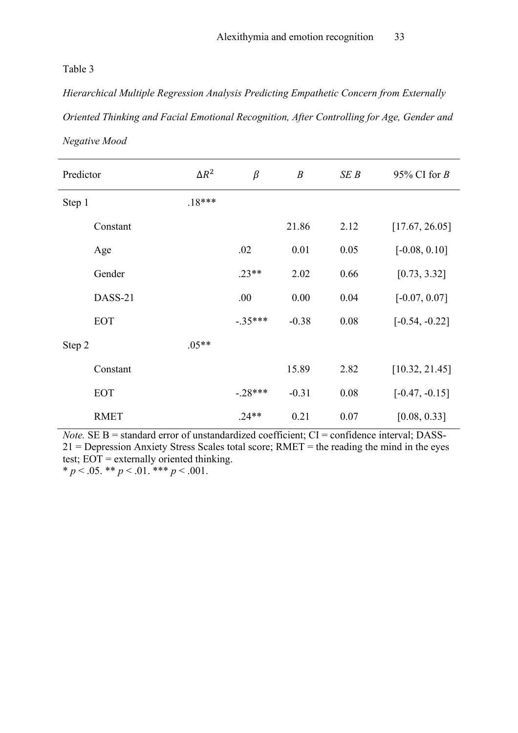## Table 3

*Hierarchical Multiple Regression Analysis Predicting Empathetic Concern from Externally Oriented Thinking and Facial Emotional Recognition, After Controlling for Age, Gender and Negative Mood*

| Predictor |             | $\Delta R^2$ | $\beta$   | $\boldsymbol{B}$ | SEB  | 95% CI for $B$   |
|-----------|-------------|--------------|-----------|------------------|------|------------------|
| Step 1    |             | $.18***$     |           |                  |      |                  |
|           | Constant    |              |           | 21.86            | 2.12 | [17.67, 26.05]   |
|           | Age         |              | .02       | 0.01             | 0.05 | $[-0.08, 0.10]$  |
|           | Gender      |              | $.23**$   | 2.02             | 0.66 | [0.73, 3.32]     |
|           | DASS-21     |              | .00       | 0.00             | 0.04 | $[-0.07, 0.07]$  |
|           | <b>EOT</b>  |              | $-.35***$ | $-0.38$          | 0.08 | $[-0.54, -0.22]$ |
| Step 2    |             | $.05**$      |           |                  |      |                  |
|           | Constant    |              |           | 15.89            | 2.82 | [10.32, 21.45]   |
|           | <b>EOT</b>  |              | $-.28***$ | $-0.31$          | 0.08 | $[-0.47, -0.15]$ |
|           | <b>RMET</b> |              | $.24**$   | 0.21             | 0.07 | [0.08, 0.33]     |

*Note.* SE  $B$  = standard error of unstandardized coefficient;  $CI$  = confidence interval; DASS-21 = Depression Anxiety Stress Scales total score; RMET = the reading the mind in the eyes test; EOT = externally oriented thinking.  $* p < .05. ** p < .01.*** p < .001.$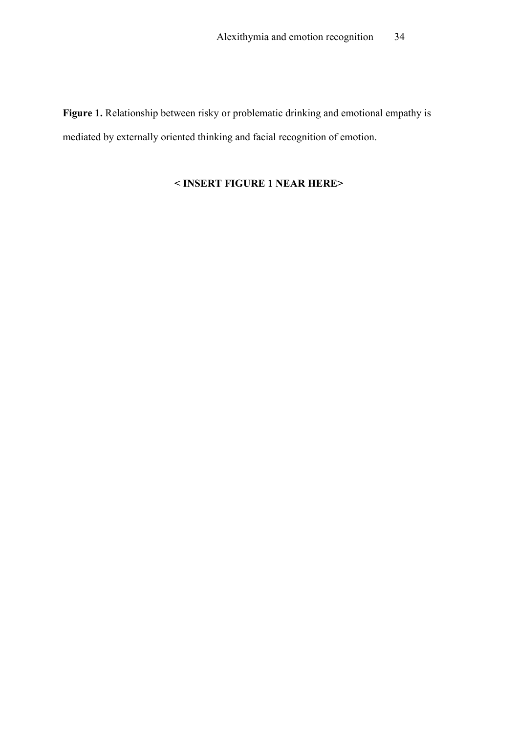**Figure 1.** Relationship between risky or problematic drinking and emotional empathy is mediated by externally oriented thinking and facial recognition of emotion.

# **< INSERT FIGURE 1 NEAR HERE>**